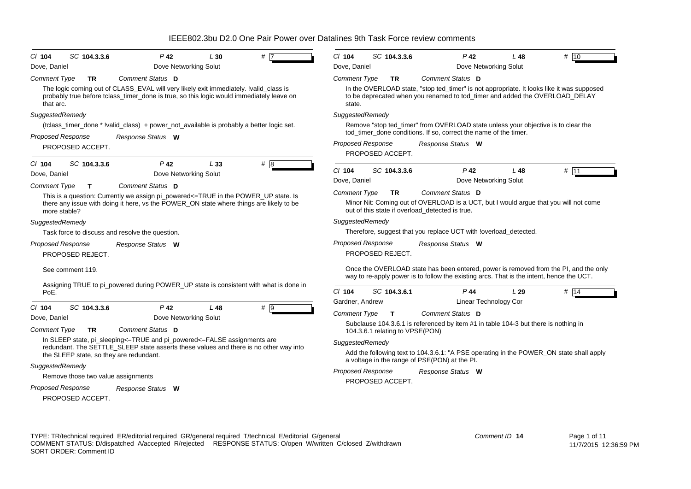| SC 104.3.3.6<br>$P$ 42<br># 7<br>$CI$ 104<br>L30                                                                                                                                                                                                 | # 10<br>$Cl$ 104<br>SC 104.3.3.6<br>$P$ 42<br>L48                                                                                                                                                                                          |
|--------------------------------------------------------------------------------------------------------------------------------------------------------------------------------------------------------------------------------------------------|--------------------------------------------------------------------------------------------------------------------------------------------------------------------------------------------------------------------------------------------|
| Dove, Daniel<br>Dove Networking Solut                                                                                                                                                                                                            | Dove, Daniel<br>Dove Networking Solut                                                                                                                                                                                                      |
| Comment Status D<br><b>Comment Type</b><br>TR.<br>The logic coming out of CLASS_EVAL will very likely exit immediately. !valid_class is<br>probably true before tclass_timer_done is true, so this logic would immediately leave on<br>that arc. | <b>Comment Type</b><br>Comment Status D<br><b>TR</b><br>In the OVERLOAD state, "stop ted_timer" is not appropriate. It looks like it was supposed<br>to be deprecated when you renamed to tod_timer and added the OVERLOAD_DELAY<br>state. |
| SuggestedRemedy                                                                                                                                                                                                                                  | SuggestedRemedy                                                                                                                                                                                                                            |
| (tclass_timer_done * !valid_class) + power_not_available is probably a better logic set.                                                                                                                                                         | Remove "stop ted timer" from OVERLOAD state unless your objective is to clear the                                                                                                                                                          |
| Proposed Response<br>Response Status W                                                                                                                                                                                                           | tod_timer_done conditions. If so, correct the name of the timer.                                                                                                                                                                           |
| PROPOSED ACCEPT.                                                                                                                                                                                                                                 | Proposed Response<br>Response Status W                                                                                                                                                                                                     |
| $P$ 42<br>#8<br>$Cl$ 104<br>SC 104.3.3.6<br>L33                                                                                                                                                                                                  | PROPOSED ACCEPT.                                                                                                                                                                                                                           |
| Dove Networking Solut<br>Dove, Daniel                                                                                                                                                                                                            | $P$ 42<br># 11<br>CI 104<br>SC 104.3.3.6<br>L48                                                                                                                                                                                            |
| Comment Status D<br><b>Comment Type</b><br>T.                                                                                                                                                                                                    | Dove, Daniel<br>Dove Networking Solut                                                                                                                                                                                                      |
| This is a question: Currently we assign pi_powered<=TRUE in the POWER_UP state. Is<br>there any issue with doing it here, vs the POWER ON state where things are likely to be<br>more stable?                                                    | <b>Comment Type</b><br>Comment Status D<br><b>TR</b><br>Minor Nit: Coming out of OVERLOAD is a UCT, but I would argue that you will not come<br>out of this state if overload detected is true.                                            |
| SuggestedRemedy                                                                                                                                                                                                                                  | SuggestedRemedy                                                                                                                                                                                                                            |
| Task force to discuss and resolve the question.                                                                                                                                                                                                  | Therefore, suggest that you replace UCT with loverload_detected.                                                                                                                                                                           |
| Proposed Response<br>Response Status W<br>PROPOSED REJECT.                                                                                                                                                                                       | <b>Proposed Response</b><br>Response Status W<br>PROPOSED REJECT.                                                                                                                                                                          |
| See comment 119.                                                                                                                                                                                                                                 | Once the OVERLOAD state has been entered, power is removed from the PI, and the only<br>way to re-apply power is to follow the existing arcs. That is the intent, hence the UCT.                                                           |
| Assigning TRUE to pi_powered during POWER_UP state is consistent with what is done in<br>PoE.                                                                                                                                                    | $P$ 44<br>$Cl$ 104<br>SC 104.3.6.1<br>L29<br>$#$ 14                                                                                                                                                                                        |
|                                                                                                                                                                                                                                                  | Gardner, Andrew<br><b>Linear Technology Cor</b>                                                                                                                                                                                            |
| SC 104.3.3.6<br>$# \overline{9}$<br>$CI$ 104<br>P 42<br>L 48<br>Dove Networking Solut<br>Dove, Daniel                                                                                                                                            | <b>Comment Type</b><br>Comment Status D<br>$\mathbf{T}$                                                                                                                                                                                    |
| Comment Status D<br><b>Comment Type</b><br><b>TR</b>                                                                                                                                                                                             | Subclause 104.3.6.1 is referenced by item #1 in table 104-3 but there is nothing in<br>104.3.6.1 relating to VPSE(PON)                                                                                                                     |
| In SLEEP state, pi_sleeping<=TRUE and pi_powered<=FALSE assignments are                                                                                                                                                                          | SuggestedRemedy                                                                                                                                                                                                                            |
| redundant. The SETTLE_SLEEP state asserts these values and there is no other way into<br>the SLEEP state, so they are redundant.                                                                                                                 | Add the following text to 104.3.6.1: "A PSE operating in the POWER_ON state shall apply<br>a voltage in the range of PSE(PON) at the PI.                                                                                                   |
| SuggestedRemedy                                                                                                                                                                                                                                  | Proposed Response<br>Response Status W                                                                                                                                                                                                     |
| Remove those two value assignments                                                                                                                                                                                                               | PROPOSED ACCEPT.                                                                                                                                                                                                                           |
| <b>Proposed Response</b><br>Response Status W                                                                                                                                                                                                    |                                                                                                                                                                                                                                            |
| PROPOSED ACCEPT.                                                                                                                                                                                                                                 |                                                                                                                                                                                                                                            |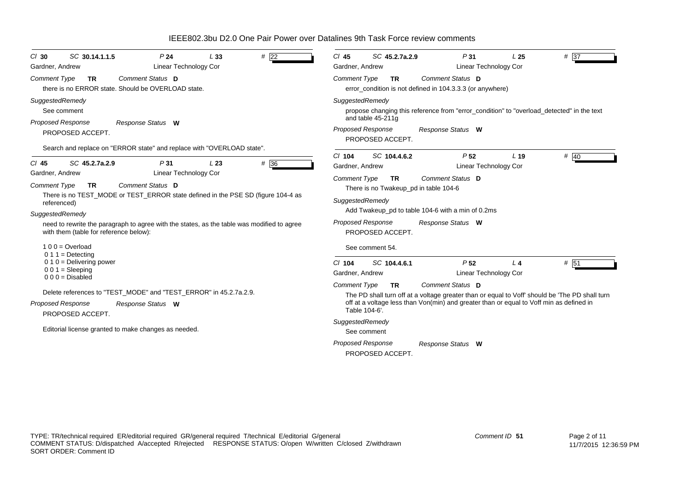| # $\overline{22}$<br>SC 30.14.1.1.5<br>P <sub>24</sub><br>L33<br>$Cl$ 30<br>Linear Technology Cor<br>Gardner, Andrew                                                                                                                                                                                               | $# \overline{37}$<br>$Cl$ 45<br>SC 45.2.7a.2.9<br>P31<br>L <sub>25</sub><br>Linear Technology Cor<br>Gardner, Andrew                                                                                                                                                                                                                                                                      |
|--------------------------------------------------------------------------------------------------------------------------------------------------------------------------------------------------------------------------------------------------------------------------------------------------------------------|-------------------------------------------------------------------------------------------------------------------------------------------------------------------------------------------------------------------------------------------------------------------------------------------------------------------------------------------------------------------------------------------|
| Comment Status D<br>Comment Type<br><b>TR</b><br>there is no ERROR state. Should be OVERLOAD state.                                                                                                                                                                                                                | Comment Status D<br><b>Comment Type</b><br><b>TR</b><br>error_condition is not defined in 104.3.3.3 (or anywhere)                                                                                                                                                                                                                                                                         |
| SuggestedRemedy<br>See comment<br><b>Proposed Response</b><br>Response Status W<br>PROPOSED ACCEPT.<br>Search and replace on "ERROR state" and replace with "OVERLOAD state".                                                                                                                                      | SuggestedRemedy<br>propose changing this reference from "error_condition" to "overload_detected" in the text<br>and table 45-211g<br><b>Proposed Response</b><br>Response Status W<br>PROPOSED ACCEPT.                                                                                                                                                                                    |
| SC 45.2.7a.2.9<br># 36<br>$Cl$ 45<br>P31<br>L23<br>Linear Technology Cor<br>Gardner, Andrew                                                                                                                                                                                                                        | SC 104.4.6.2<br>P <sub>52</sub><br># 40<br>$Cl$ 104<br>L <sub>19</sub><br>Gardner, Andrew<br>Linear Technology Cor<br>Comment Status D<br><b>Comment Type</b><br><b>TR</b>                                                                                                                                                                                                                |
| Comment Status D<br><b>Comment Type</b><br><b>TR</b><br>There is no TEST_MODE or TEST_ERROR state defined in the PSE SD (figure 104-4 as<br>referenced)<br>SuggestedRemedy<br>need to rewrite the paragraph to agree with the states, as the table was modified to agree<br>with them (table for reference below): | There is no Twakeup_pd in table 104-6<br>SuggestedRemedy<br>Add Twakeup_pd to table 104-6 with a min of 0.2ms<br><b>Proposed Response</b><br>Response Status W<br>PROPOSED ACCEPT.                                                                                                                                                                                                        |
| $100 = Overload$<br>$0 1 1 =$ Detecting<br>$0 1 0 =$ Delivering power<br>$001 = S$ leeping<br>$000 = Disabled$<br>Delete references to "TEST_MODE" and "TEST_ERROR" in 45.2.7a.2.9.                                                                                                                                | See comment 54.<br>SC 104.4.6.1<br>P <sub>52</sub><br># 51<br>$Cl$ 104<br>L <sub>4</sub><br>Linear Technology Cor<br>Gardner, Andrew<br>Comment Status D<br><b>Comment Type</b><br><b>TR</b><br>The PD shall turn off at a voltage greater than or equal to Voff' should be 'The PD shall turn<br>off at a voltage less than Von(min) and greater than or equal to Voff min as defined in |
| <b>Proposed Response</b><br>Response Status W<br>PROPOSED ACCEPT.<br>Editorial license granted to make changes as needed.                                                                                                                                                                                          | Table 104-6'.<br>SuggestedRemedy<br>See comment<br><b>Proposed Response</b><br>Response Status W<br>PROPOSED ACCEPT.                                                                                                                                                                                                                                                                      |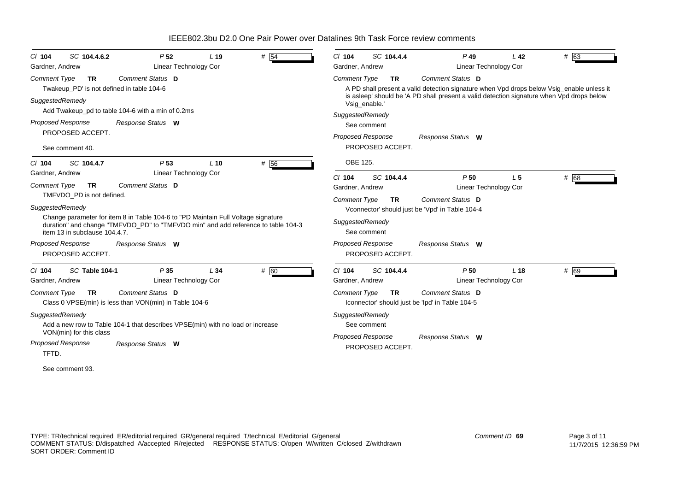| SC 104.4.6.2<br>$CI$ 104         | P <sub>52</sub>                                                                   | L <sub>19</sub> | # 54 | SC 104.4.4<br>$Cl$ 104           | $P$ 49                                                                                    | L <sub>42</sub> | # 63   |
|----------------------------------|-----------------------------------------------------------------------------------|-----------------|------|----------------------------------|-------------------------------------------------------------------------------------------|-----------------|--------|
| Gardner, Andrew                  | Linear Technology Cor                                                             |                 |      | Gardner, Andrew                  | Linear Technology Cor                                                                     |                 |        |
| <b>Comment Type</b><br><b>TR</b> | Comment Status D                                                                  |                 |      | Comment Type<br><b>TR</b>        | Comment Status D                                                                          |                 |        |
|                                  | Twakeup_PD' is not defined in table 104-6                                         |                 |      |                                  | A PD shall present a valid detection signature when Vpd drops below Vsig_enable unless it |                 |        |
| SuggestedRemedy                  |                                                                                   |                 |      | Vsig_enable.'                    | is asleep' should be 'A PD shall present a valid detection signature when Vpd drops below |                 |        |
|                                  | Add Twakeup_pd to table 104-6 with a min of 0.2ms                                 |                 |      | SuggestedRemedy                  |                                                                                           |                 |        |
| <b>Proposed Response</b>         | Response Status W                                                                 |                 |      | See comment                      |                                                                                           |                 |        |
| PROPOSED ACCEPT.                 |                                                                                   |                 |      | Proposed Response                | Response Status W                                                                         |                 |        |
| See comment 40.                  |                                                                                   |                 |      | PROPOSED ACCEPT.                 |                                                                                           |                 |        |
| $Cl$ 104<br>SC 104.4.7           | P <sub>53</sub>                                                                   | $L$ 10          | # 56 | OBE 125.                         |                                                                                           |                 |        |
| Gardner, Andrew                  | Linear Technology Cor                                                             |                 |      | SC 104.4.4<br>$Cl$ 104           | P50                                                                                       | L <sub>5</sub>  | # 68   |
| <b>Comment Type</b><br><b>TR</b> | Comment Status D                                                                  |                 |      | Gardner, Andrew                  | Linear Technology Cor                                                                     |                 |        |
| TMFVDO PD is not defined.        |                                                                                   |                 |      | <b>Comment Type</b><br><b>TR</b> | Comment Status D                                                                          |                 |        |
| SuggestedRemedy                  |                                                                                   |                 |      |                                  | Vconnector' should just be 'Vpd' in Table 104-4                                           |                 |        |
|                                  | Change parameter for item 8 in Table 104-6 to "PD Maintain Full Voltage signature |                 |      | SuggestedRemedy                  |                                                                                           |                 |        |
| item 13 in subclause 104.4.7.    | duration" and change "TMFVDO_PD" to "TMFVDO min" and add reference to table 104-3 |                 |      | See comment                      |                                                                                           |                 |        |
| <b>Proposed Response</b>         |                                                                                   |                 |      | <b>Proposed Response</b>         |                                                                                           |                 |        |
|                                  | Response Status W                                                                 |                 |      | PROPOSED ACCEPT.                 | Response Status W                                                                         |                 |        |
| PROPOSED ACCEPT.                 |                                                                                   |                 |      |                                  |                                                                                           |                 |        |
| SC Table 104-1<br>$CI$ 104       | P35                                                                               | L34             | # 60 | SC 104.4.4<br>$Cl$ 104           | P50                                                                                       | L <sub>18</sub> | $#$ 69 |
| Gardner, Andrew                  | <b>Linear Technology Cor</b>                                                      |                 |      | Gardner, Andrew                  | Linear Technology Cor                                                                     |                 |        |
| <b>Comment Type</b><br><b>TR</b> | Comment Status D                                                                  |                 |      | <b>Comment Type</b><br><b>TR</b> | Comment Status D                                                                          |                 |        |
|                                  | Class 0 VPSE(min) is less than VON(min) in Table 104-6                            |                 |      |                                  | Iconnector' should just be 'Ipd' in Table 104-5                                           |                 |        |
| SuggestedRemedy                  |                                                                                   |                 |      | SuggestedRemedy                  |                                                                                           |                 |        |
|                                  | Add a new row to Table 104-1 that describes VPSE(min) with no load or increase    |                 |      | See comment                      |                                                                                           |                 |        |
| VON(min) for this class          |                                                                                   |                 |      | Proposed Response                | Response Status W                                                                         |                 |        |
| <b>Proposed Response</b>         | Response Status W                                                                 |                 |      | PROPOSED ACCEPT.                 |                                                                                           |                 |        |
| TFTD.                            |                                                                                   |                 |      |                                  |                                                                                           |                 |        |
| See comment 93.                  |                                                                                   |                 |      |                                  |                                                                                           |                 |        |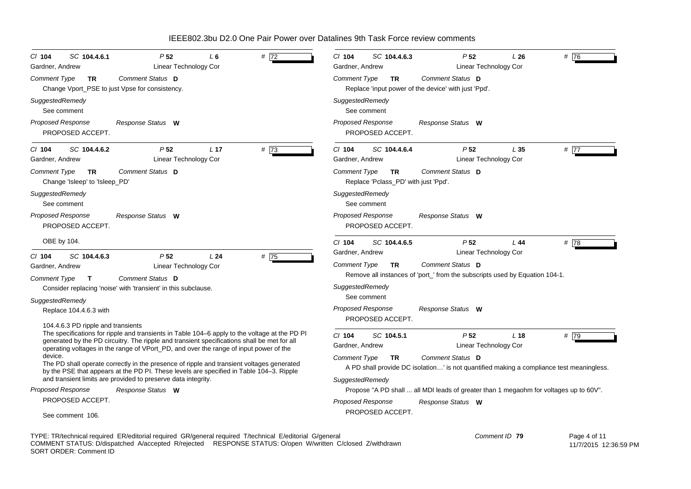| SC 104.4.6.1<br>P <sub>52</sub><br># $\overline{72}$<br>$Cl$ 104<br>L 6<br>Linear Technology Cor<br>Gardner, Andrew                                                                                                                                                                                                         | $Cl$ 104<br>SC 104.4.6.3<br>P <sub>52</sub><br># 76<br>L26<br>Linear Technology Cor<br>Gardner, Andrew                                    |
|-----------------------------------------------------------------------------------------------------------------------------------------------------------------------------------------------------------------------------------------------------------------------------------------------------------------------------|-------------------------------------------------------------------------------------------------------------------------------------------|
| Comment Status D<br>Comment Type<br>TR.<br>Change Vport_PSE to just Vpse for consistency.                                                                                                                                                                                                                                   | Comment Status D<br>Comment Type<br><b>TR</b><br>Replace 'input power of the device' with just 'Ppd'.                                     |
| SuggestedRemedy<br>See comment                                                                                                                                                                                                                                                                                              | SuggestedRemedy<br>See comment                                                                                                            |
| <b>Proposed Response</b><br>Response Status W<br>PROPOSED ACCEPT.                                                                                                                                                                                                                                                           | <b>Proposed Response</b><br>Response Status W<br>PROPOSED ACCEPT.                                                                         |
| #73<br>P <sub>52</sub><br>L <sub>17</sub><br>SC 104.4.6.2<br>$Cl$ 104<br>Linear Technology Cor<br>Gardner, Andrew                                                                                                                                                                                                           | #77<br>$Cl$ 104<br>P <sub>52</sub><br>SC 104.4.6.4<br>L35<br>Linear Technology Cor<br>Gardner, Andrew                                     |
| Comment Status D<br>Comment Type<br><b>TR</b><br>Change 'Isleep' to 'Isleep_PD'                                                                                                                                                                                                                                             | Comment Status D<br>Comment Type<br><b>TR</b><br>Replace 'Pclass_PD' with just 'Ppd'.                                                     |
| SuggestedRemedy<br>See comment                                                                                                                                                                                                                                                                                              | SuggestedRemedy<br>See comment                                                                                                            |
| <b>Proposed Response</b><br>Response Status W<br>PROPOSED ACCEPT.                                                                                                                                                                                                                                                           | <b>Proposed Response</b><br>Response Status W<br>PROPOSED ACCEPT.                                                                         |
| OBE by 104.                                                                                                                                                                                                                                                                                                                 | #78<br>$CI$ 104<br>SC 104.4.6.5<br>P <sub>52</sub><br>L44                                                                                 |
| SC 104.4.6.3<br>P <sub>52</sub><br>L24<br># 75<br>$CI$ 104                                                                                                                                                                                                                                                                  | Gardner, Andrew<br>Linear Technology Cor                                                                                                  |
| Linear Technology Cor<br>Gardner, Andrew                                                                                                                                                                                                                                                                                    | Comment Status D<br>Comment Type<br><b>TR</b><br>Remove all instances of 'port_' from the subscripts used by Equation 104-1.              |
| Comment Type<br>Comment Status D<br>T<br>Consider replacing 'noise' with 'transient' in this subclause.                                                                                                                                                                                                                     | SuggestedRemedy                                                                                                                           |
| SuggestedRemedy                                                                                                                                                                                                                                                                                                             | See comment                                                                                                                               |
| Replace 104.4.6.3 with                                                                                                                                                                                                                                                                                                      | <b>Proposed Response</b><br>Response Status W<br>PROPOSED ACCEPT.                                                                         |
| 104.4.6.3 PD ripple and transients<br>The specifications for ripple and transients in Table 104–6 apply to the voltage at the PD PI<br>generated by the PD circuitry. The ripple and transient specifications shall be met for all<br>operating voltages in the range of VPort_PD, and over the range of input power of the | # 79<br>SC 104.5.1<br>P <sub>52</sub><br>L <sub>18</sub><br>$CI$ 104<br>Gardner, Andrew<br>Linear Technology Cor                          |
| device.<br>The PD shall operate correctly in the presence of ripple and transient voltages generated<br>by the PSE that appears at the PD PI. These levels are specified in Table 104-3. Ripple                                                                                                                             | Comment Status D<br>Comment Type<br><b>TR</b><br>A PD shall provide DC isolation' is not quantified making a compliance test meaningless. |
| and transient limits are provided to preserve data integrity.<br>Proposed Response                                                                                                                                                                                                                                          | SuggestedRemedy                                                                                                                           |
| Response Status W<br>PROPOSED ACCEPT.                                                                                                                                                                                                                                                                                       | Propose "A PD shall  all MDI leads of greater than 1 megaohm for voltages up to 60V".                                                     |
| See comment 106.                                                                                                                                                                                                                                                                                                            | <b>Proposed Response</b><br>Response Status W<br>PROPOSED ACCEPT.                                                                         |
| TYPE: TR/technical required ER/editorial required GR/general required T/technical E/editorial G/general                                                                                                                                                                                                                     | Comment ID 79<br>Page 4 of 11                                                                                                             |

COMMENT STATUS: D/dispatched A/accepted R/rejected RESPONSE STATUS: O/open W/written C/closed Z/withdrawn SORT ORDER: Comment ID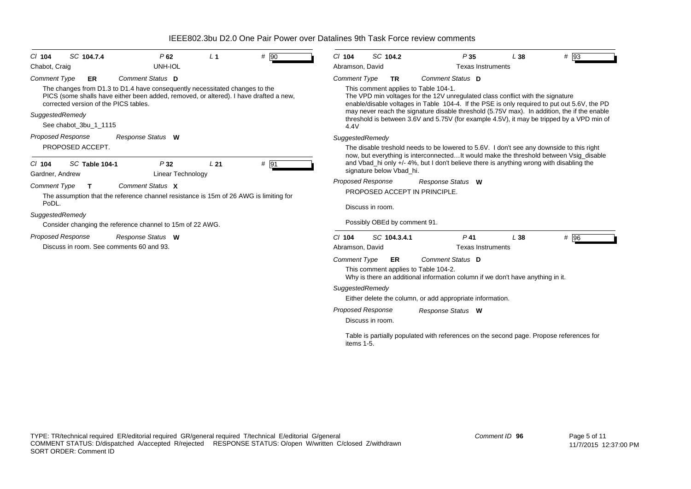| # 90<br>SC 104.7.4<br>P62<br>L <sub>1</sub><br>$CI$ 104<br>UNH-IOL<br>Chabot, Craig                                                                                                                                                                                                                                                        | # 93<br>SC 104.2<br>$Cl$ 104<br>P <sub>35</sub><br>L38<br>Abramson, David<br><b>Texas Instruments</b>                                                                                                                                                                                                                                                                                                                                                                      |
|--------------------------------------------------------------------------------------------------------------------------------------------------------------------------------------------------------------------------------------------------------------------------------------------------------------------------------------------|----------------------------------------------------------------------------------------------------------------------------------------------------------------------------------------------------------------------------------------------------------------------------------------------------------------------------------------------------------------------------------------------------------------------------------------------------------------------------|
| Comment Status D<br><b>Comment Type</b><br><b>ER</b><br>The changes from D1.3 to D1.4 have consequently necessitated changes to the<br>PICS (some shalls have either been added, removed, or altered). I have drafted a new,<br>corrected version of the PICS tables.<br>SuggestedRemedy<br>See chabot_3bu_1_1115                          | Comment Status D<br><b>Comment Type</b><br>TR<br>This comment applies to Table 104-1.<br>The VPD min voltages for the 12V unregulated class conflict with the signature<br>enable/disable voltages in Table 104-4. If the PSE is only required to put out 5.6V, the PD<br>may never reach the signature disable threshold (5.75V max). In addition, the if the enable<br>threshold is between 3.6V and 5.75V (for example 4.5V), it may be tripped by a VPD min of<br>4.4V |
| <b>Proposed Response</b><br>Response Status W<br>PROPOSED ACCEPT.                                                                                                                                                                                                                                                                          | SuggestedRemedy<br>The disable treshold needs to be lowered to 5.6V. I don't see any downside to this right<br>now, but everything is interconnectedIt would make the threshold between Vsig_disable                                                                                                                                                                                                                                                                       |
| $#$ 91<br><b>SC Table 104-1</b><br>P32<br>L21<br>$CI$ 104<br><b>Linear Technology</b><br>Gardner, Andrew<br>Comment Status X<br><b>Comment Type</b><br>т<br>The assumption that the reference channel resistance is 15m of 26 AWG is limiting for<br>PoDL.<br>SuggestedRemedy<br>Consider changing the reference channel to 15m of 22 AWG. | and Vbad_hi only +/- 4%, but I don't believe there is anything wrong with disabling the<br>signature below Vbad_hi.<br><b>Proposed Response</b><br>Response Status W<br>PROPOSED ACCEPT IN PRINCIPLE.<br>Discuss in room.<br>Possibly OBEd by comment 91.                                                                                                                                                                                                                  |
| <b>Proposed Response</b><br>Response Status W<br>Discuss in room. See comments 60 and 93.                                                                                                                                                                                                                                                  | C/104<br>SC 104.3.4.1<br>$P$ 41<br>L38<br># 96<br><b>Texas Instruments</b><br>Abramson, David<br><b>Comment Type</b><br>Comment Status D<br>ER<br>This comment applies to Table 104-2.<br>Why is there an additional information column if we don't have anything in it.<br>SuggestedRemedy<br>Either delete the column, or add appropriate information.                                                                                                                   |
|                                                                                                                                                                                                                                                                                                                                            | <b>Proposed Response</b><br>Response Status W<br>Discuss in room.<br>Table is partially populated with references on the second page. Propose references for<br>items 1-5.                                                                                                                                                                                                                                                                                                 |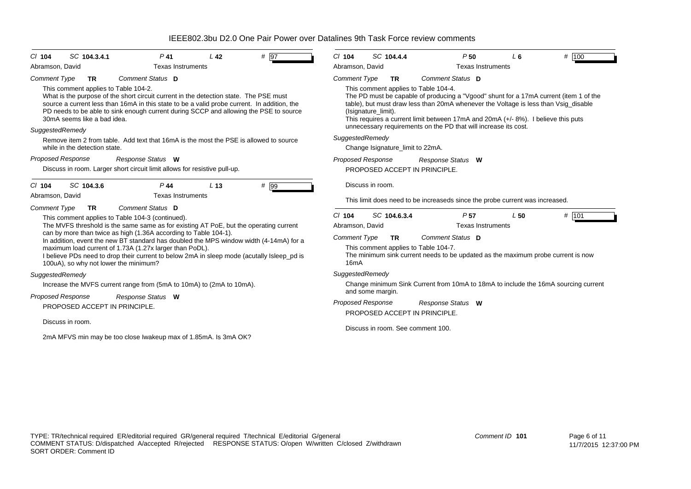| # 97<br>SC 104.3.4.1<br>$P$ 41<br>L <sub>42</sub><br>$CI$ 104                                                                                                                                                                                                                                                                                                                                                                                                                                             | SC 104.4.4<br># 100<br>$Cl$ 104<br>P50<br>L6                                                                                                                                                                                                                                                                                                                                                                                                         |  |  |  |  |
|-----------------------------------------------------------------------------------------------------------------------------------------------------------------------------------------------------------------------------------------------------------------------------------------------------------------------------------------------------------------------------------------------------------------------------------------------------------------------------------------------------------|------------------------------------------------------------------------------------------------------------------------------------------------------------------------------------------------------------------------------------------------------------------------------------------------------------------------------------------------------------------------------------------------------------------------------------------------------|--|--|--|--|
| <b>Texas Instruments</b><br>Abramson, David                                                                                                                                                                                                                                                                                                                                                                                                                                                               | Abramson, David<br><b>Texas Instruments</b>                                                                                                                                                                                                                                                                                                                                                                                                          |  |  |  |  |
| Comment Status D<br><b>Comment Type</b><br><b>TR</b><br>This comment applies to Table 104-2.<br>What is the purpose of the short circuit current in the detection state. The PSE must<br>source a current less than 16mA in this state to be a valid probe current. In addition, the<br>PD needs to be able to sink enough current during SCCP and allowing the PSE to source<br>30mA seems like a bad idea.<br>SuggestedRemedy                                                                           | Comment Status D<br><b>Comment Type</b><br>TR<br>This comment applies to Table 104-4.<br>The PD must be capable of producing a "Vgood" shunt for a 17mA current (item 1 of the<br>table), but must draw less than 20mA whenever the Voltage is less than Vsig_disable<br>(Isignature_limit).<br>This requires a current limit between 17mA and 20mA (+/- 8%). I believe this puts<br>unnecessary requirements on the PD that will increase its cost. |  |  |  |  |
| Remove item 2 from table. Add text that 16mA is the most the PSE is allowed to source<br>while in the detection state.                                                                                                                                                                                                                                                                                                                                                                                    | SuggestedRemedy<br>Change Isignature_limit to 22mA.                                                                                                                                                                                                                                                                                                                                                                                                  |  |  |  |  |
| <b>Proposed Response</b><br>Response Status W<br>Discuss in room. Larger short circuit limit allows for resistive pull-up.                                                                                                                                                                                                                                                                                                                                                                                | <b>Proposed Response</b><br>Response Status W<br>PROPOSED ACCEPT IN PRINCIPLE.                                                                                                                                                                                                                                                                                                                                                                       |  |  |  |  |
| SC 104.3.6<br>$P$ 44<br>$#$ 99<br>L <sub>13</sub><br>$CI$ 104<br>Abramson, David<br><b>Texas Instruments</b>                                                                                                                                                                                                                                                                                                                                                                                              | Discuss in room.                                                                                                                                                                                                                                                                                                                                                                                                                                     |  |  |  |  |
| Comment Status D<br><b>Comment Type</b><br><b>TR</b>                                                                                                                                                                                                                                                                                                                                                                                                                                                      | This limit does need to be increaseds since the probe current was increased.                                                                                                                                                                                                                                                                                                                                                                         |  |  |  |  |
| This comment applies to Table 104-3 (continued).<br>The MVFS threshold is the same same as for existing AT PoE, but the operating current<br>can by more than twice as high (1.36A according to Table 104-1).<br>In addition, event the new BT standard has doubled the MPS window width (4-14mA) for a<br>maximum load current of 1.73A (1.27x larger than PoDL).<br>I believe PDs need to drop their current to below 2mA in sleep mode (acutally Isleep_pd is<br>100uA), so why not lower the minimum? | # 101<br>SC 104.6.3.4<br>$Cl$ 104<br>P <sub>57</sub><br>L50<br>Abramson, David<br><b>Texas Instruments</b><br>Comment Status D<br><b>Comment Type</b><br><b>TR</b><br>This comment applies to Table 104-7.<br>The minimum sink current needs to be updated as the maximum probe current is now<br>16 <sub>m</sub> A                                                                                                                                  |  |  |  |  |
| SuggestedRemedy                                                                                                                                                                                                                                                                                                                                                                                                                                                                                           | SuggestedRemedy                                                                                                                                                                                                                                                                                                                                                                                                                                      |  |  |  |  |
| Increase the MVFS current range from (5mA to 10mA) to (2mA to 10mA).                                                                                                                                                                                                                                                                                                                                                                                                                                      | Change minimum Sink Current from 10mA to 18mA to include the 16mA sourcing current                                                                                                                                                                                                                                                                                                                                                                   |  |  |  |  |
| <b>Proposed Response</b><br>Response Status W<br>PROPOSED ACCEPT IN PRINCIPLE.                                                                                                                                                                                                                                                                                                                                                                                                                            | and some margin.<br><b>Proposed Response</b><br>Response Status W<br>PROPOSED ACCEPT IN PRINCIPLE.                                                                                                                                                                                                                                                                                                                                                   |  |  |  |  |
| Discuss in room.<br>2mA MFVS min may be too close Iwakeup max of 1.85mA. Is 3mA OK?                                                                                                                                                                                                                                                                                                                                                                                                                       | Discuss in room. See comment 100.                                                                                                                                                                                                                                                                                                                                                                                                                    |  |  |  |  |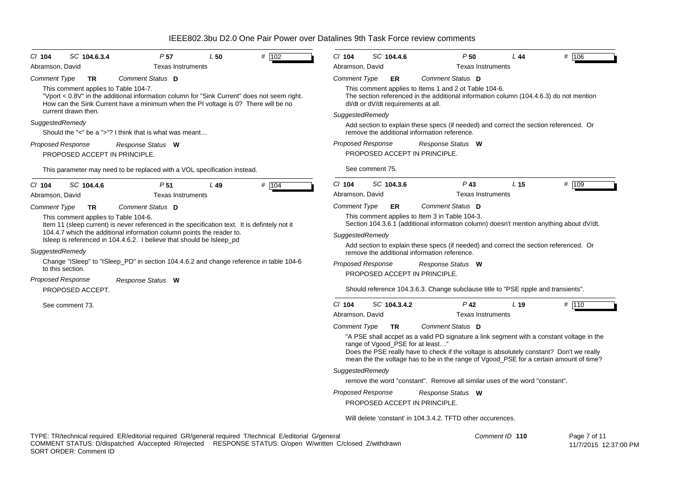| P <sub>57</sub><br>$CI$ 104<br>SC 104.6.3.4<br>L50<br>Abramson, David<br><b>Texas Instruments</b>                                                                                                                                                                                                                                        | # 102<br>$Cl$ 104<br>Abramson, David   | SC 104.4.6                                                                                                                                               | P50<br><b>Texas Instruments</b>                                                                                                                                                                                                                                                                     | L 44            | # 106        |  |  |
|------------------------------------------------------------------------------------------------------------------------------------------------------------------------------------------------------------------------------------------------------------------------------------------------------------------------------------------|----------------------------------------|----------------------------------------------------------------------------------------------------------------------------------------------------------|-----------------------------------------------------------------------------------------------------------------------------------------------------------------------------------------------------------------------------------------------------------------------------------------------------|-----------------|--------------|--|--|
| <b>Comment Type</b><br>Comment Status D<br><b>TR</b>                                                                                                                                                                                                                                                                                     | Comment Type                           | ER.                                                                                                                                                      | Comment Status D                                                                                                                                                                                                                                                                                    |                 |              |  |  |
| This comment applies to Table 104-7.<br>"Vport < 0.8V" in the additional information column for "Sink Current" does not seem right.<br>How can the Sink Current have a minimum when the PI voltage is 0? There will be no<br>current drawn then.                                                                                         |                                        | dl/dt or dV/dt requirements at all.                                                                                                                      | This comment applies to Items 1 and 2 ot Table 104-6.<br>The section referenced in the additional information column (104.4.6.3) do not mention                                                                                                                                                     |                 |              |  |  |
| SuggestedRemedy<br>Should the "<" be a ">"? I think that is what was meant                                                                                                                                                                                                                                                               |                                        | SuggestedRemedy<br>Add section to explain these specs (if needed) and correct the section referenced. Or<br>remove the additional information reference. |                                                                                                                                                                                                                                                                                                     |                 |              |  |  |
| <b>Proposed Response</b><br>Response Status W<br>PROPOSED ACCEPT IN PRINCIPLE.                                                                                                                                                                                                                                                           | <b>Proposed Response</b>               | PROPOSED ACCEPT IN PRINCIPLE.                                                                                                                            | Response Status W                                                                                                                                                                                                                                                                                   |                 |              |  |  |
| This parameter may need to be replaced with a VOL specification instead.                                                                                                                                                                                                                                                                 |                                        | See comment 75.                                                                                                                                          |                                                                                                                                                                                                                                                                                                     |                 |              |  |  |
| $Cl$ 104<br>SC 104.4.6<br>P <sub>51</sub><br>L49<br>Abramson, David<br><b>Texas Instruments</b>                                                                                                                                                                                                                                          | $Cl$ 104<br># 104<br>Abramson, David   | SC 104.3.6                                                                                                                                               | $P$ 43<br><b>Texas Instruments</b>                                                                                                                                                                                                                                                                  | L <sub>15</sub> | # 109        |  |  |
| Comment Status D<br>Comment Type<br><b>TR</b><br>This comment applies to Table 104-6.<br>Item 11 (sleep current) is never referenced in the specification text. It is defintely not it<br>104.4.7 which the additional information column points the reader to.<br>Isleep is referenced in 104.4.6.2. I believe that should be Isleep_pd | <b>Comment Type</b><br>SuggestedRemedy | <b>ER</b>                                                                                                                                                | Comment Status D<br>This comment applies to Item 3 in Table 104-3.<br>Section 104.3.6.1 (additional information column) doesn't mention anything about dV/dt.                                                                                                                                       |                 |              |  |  |
| SuggestedRemedy                                                                                                                                                                                                                                                                                                                          |                                        |                                                                                                                                                          | Add section to explain these specs (if needed) and correct the section referenced. Or<br>remove the additional information reference.                                                                                                                                                               |                 |              |  |  |
| Change "ISleep" to "ISleep PD" in section 104.4.6.2 and change reference in table 104-6<br>to this section.                                                                                                                                                                                                                              | <b>Proposed Response</b>               | PROPOSED ACCEPT IN PRINCIPLE.                                                                                                                            | Response Status W                                                                                                                                                                                                                                                                                   |                 |              |  |  |
| <b>Proposed Response</b><br>Response Status W<br>PROPOSED ACCEPT.                                                                                                                                                                                                                                                                        |                                        |                                                                                                                                                          | Should reference 104.3.6.3. Change subclause title to "PSE ripple and transients".                                                                                                                                                                                                                  |                 |              |  |  |
| See comment 73.                                                                                                                                                                                                                                                                                                                          | $Cl$ 104<br>Abramson, David            | SC 104.3.4.2                                                                                                                                             | $P$ 42<br><b>Texas Instruments</b>                                                                                                                                                                                                                                                                  | L <sub>19</sub> | $#$ 110      |  |  |
|                                                                                                                                                                                                                                                                                                                                          | <b>Comment Type</b>                    | <b>TR</b><br>range of Vgood_PSE for at least'                                                                                                            | Comment Status D<br>"A PSE shall accpet as a valid PD signature a link segment with a constant voltage in the<br>Does the PSE really have to check if the voltage is absolutely constant? Don't we really<br>mean the the voltage has to be in the range of Vgood_PSE for a certain amount of time? |                 |              |  |  |
|                                                                                                                                                                                                                                                                                                                                          | SuggestedRemedy                        |                                                                                                                                                          | remove the word "constant". Remove all similar uses of the word "constant".                                                                                                                                                                                                                         |                 |              |  |  |
|                                                                                                                                                                                                                                                                                                                                          | <b>Proposed Response</b>               |                                                                                                                                                          | Response Status W                                                                                                                                                                                                                                                                                   |                 |              |  |  |
|                                                                                                                                                                                                                                                                                                                                          |                                        | PROPOSED ACCEPT IN PRINCIPLE.                                                                                                                            |                                                                                                                                                                                                                                                                                                     |                 |              |  |  |
|                                                                                                                                                                                                                                                                                                                                          |                                        |                                                                                                                                                          | Will delete 'constant' in 104.3.4.2. TFTD other occurences.                                                                                                                                                                                                                                         |                 |              |  |  |
| TYPE: TR/technical required ER/editorial required GR/general required T/technical E/editorial G/general                                                                                                                                                                                                                                  |                                        |                                                                                                                                                          |                                                                                                                                                                                                                                                                                                     | Comment ID 110  | Page 7 of 11 |  |  |

COMMENT STATUS: D/dispatched A/accepted R/rejected RESPONSE STATUS: O/open W/written C/closed Z/withdrawn SORT ORDER: Comment ID

11/7/2015 12:37:00 PM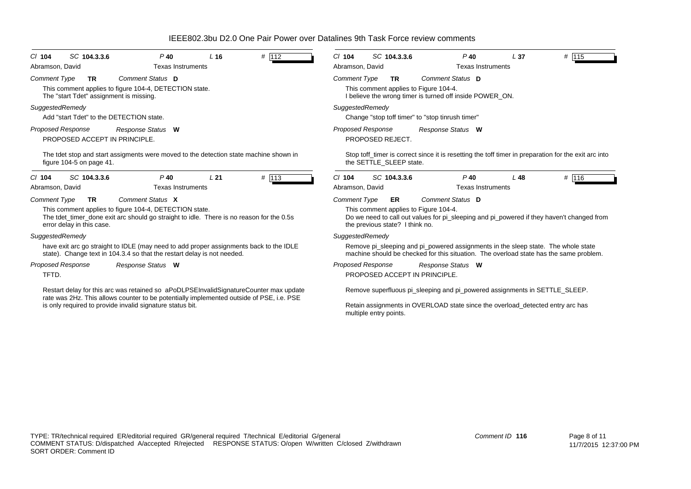| $CI$ 104                                                                                          | SC 104.3.3.6                  | $P$ 40                                                                                                                                                                            | L <sub>16</sub> | # 112 | $Cl$ 104                 | SC 104.3.3.6                                                                                      |                                                  | $P$ 40                   | L <sub>37</sub>                                                                | # 115                                                                                                                                                                       |  |
|---------------------------------------------------------------------------------------------------|-------------------------------|-----------------------------------------------------------------------------------------------------------------------------------------------------------------------------------|-----------------|-------|--------------------------|---------------------------------------------------------------------------------------------------|--------------------------------------------------|--------------------------|--------------------------------------------------------------------------------|-----------------------------------------------------------------------------------------------------------------------------------------------------------------------------|--|
| Abramson, David<br><b>Texas Instruments</b>                                                       |                               |                                                                                                                                                                                   |                 |       | Abramson, David          |                                                                                                   |                                                  | <b>Texas Instruments</b> |                                                                                |                                                                                                                                                                             |  |
| <b>Comment Type</b>                                                                               | TR                            | Comment Status D                                                                                                                                                                  |                 |       | <b>Comment Type</b>      | <b>TR</b>                                                                                         | Comment Status D                                 |                          |                                                                                |                                                                                                                                                                             |  |
| This comment applies to figure 104-4, DETECTION state.<br>The "start Tdet" assignment is missing. |                               |                                                                                                                                                                                   |                 |       |                          | This comment applies to Figure 104-4.<br>I believe the wrong timer is turned off inside POWER ON. |                                                  |                          |                                                                                |                                                                                                                                                                             |  |
| SuggestedRemedy                                                                                   |                               |                                                                                                                                                                                   |                 |       | SuggestedRemedy          |                                                                                                   |                                                  |                          |                                                                                |                                                                                                                                                                             |  |
|                                                                                                   |                               | Add "start Tdet" to the DETECTION state.                                                                                                                                          |                 |       |                          |                                                                                                   | Change "stop toff timer" to "stop tinrush timer" |                          |                                                                                |                                                                                                                                                                             |  |
| <b>Proposed Response</b>                                                                          |                               | Response Status W                                                                                                                                                                 |                 |       | <b>Proposed Response</b> |                                                                                                   | Response Status W                                |                          |                                                                                |                                                                                                                                                                             |  |
|                                                                                                   | PROPOSED ACCEPT IN PRINCIPLE. |                                                                                                                                                                                   |                 |       |                          | PROPOSED REJECT.                                                                                  |                                                  |                          |                                                                                |                                                                                                                                                                             |  |
|                                                                                                   | figure 104-5 on page 41.      | The tdet stop and start assigments were moved to the detection state machine shown in                                                                                             |                 |       |                          | the SETTLE SLEEP state.                                                                           |                                                  |                          |                                                                                | Stop toff timer is correct since it is resetting the toff timer in preparation for the exit arc into                                                                        |  |
| $CI$ 104                                                                                          | SC 104.3.3.6                  | $P$ 40                                                                                                                                                                            | L21             | # 113 | $Cl$ 104                 | SC 104.3.3.6                                                                                      |                                                  | $P$ 40                   | L48                                                                            | # 116                                                                                                                                                                       |  |
| Abramson, David                                                                                   |                               | <b>Texas Instruments</b>                                                                                                                                                          |                 |       | Abramson, David          |                                                                                                   |                                                  | <b>Texas Instruments</b> |                                                                                |                                                                                                                                                                             |  |
| <b>Comment Type</b>                                                                               | <b>TR</b>                     | Comment Status X                                                                                                                                                                  |                 |       | <b>Comment Type</b>      | <b>ER</b>                                                                                         | Comment Status D                                 |                          |                                                                                |                                                                                                                                                                             |  |
|                                                                                                   | error delay in this case.     | This comment applies to figure 104-4, DETECTION state.<br>The tdet_timer_done exit arc should go straight to idle. There is no reason for the 0.5s                                |                 |       |                          | the previous state? I think no.                                                                   | This comment applies to Figure 104-4.            |                          |                                                                                | Do we need to call out values for pi_sleeping and pi_powered if they haven't changed from                                                                                   |  |
| SuggestedRemedy                                                                                   |                               |                                                                                                                                                                                   |                 |       | SuggestedRemedy          |                                                                                                   |                                                  |                          |                                                                                |                                                                                                                                                                             |  |
|                                                                                                   |                               | have exit arc go straight to IDLE (may need to add proper assignments back to the IDLE<br>state). Change text in 104.3.4 so that the restart delay is not needed.                 |                 |       |                          |                                                                                                   |                                                  |                          |                                                                                | Remove pi_sleeping and pi_powered assignments in the sleep state. The whole state<br>machine should be checked for this situation. The overload state has the same problem. |  |
| <b>Proposed Response</b>                                                                          |                               | Response Status W                                                                                                                                                                 |                 |       |                          | <b>Proposed Response</b>                                                                          | Response Status W                                |                          |                                                                                |                                                                                                                                                                             |  |
| TFTD.                                                                                             |                               |                                                                                                                                                                                   |                 |       |                          |                                                                                                   | PROPOSED ACCEPT IN PRINCIPLE.                    |                          |                                                                                |                                                                                                                                                                             |  |
|                                                                                                   |                               | Restart delay for this arc was retained so aPoDLPSEInvalidSignatureCounter max update<br>rate was 2Hz. This allows counter to be potentially implemented outside of PSE, i.e. PSE |                 |       |                          |                                                                                                   |                                                  |                          | Remove superfluous pi_sleeping and pi_powered assignments in SETTLE_SLEEP.     |                                                                                                                                                                             |  |
|                                                                                                   |                               | is only required to provide invalid signature status bit.                                                                                                                         |                 |       |                          | multiple entry points.                                                                            |                                                  |                          | Retain assignments in OVERLOAD state since the overload_detected entry arc has |                                                                                                                                                                             |  |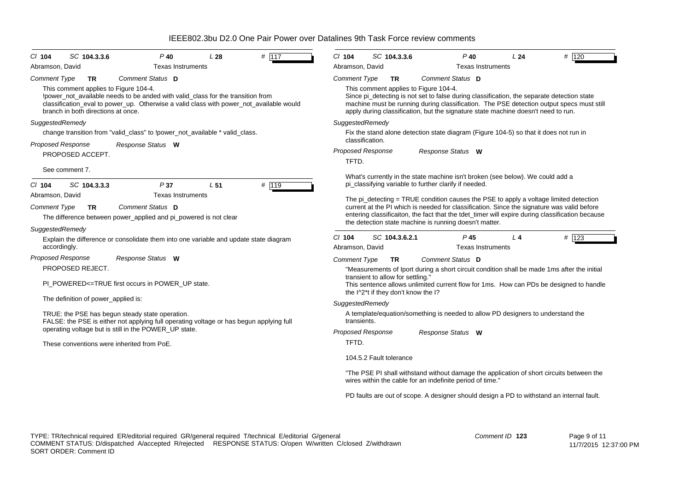| # 117<br>SC 104.3.3.6<br>$P$ 40<br>L28<br>$CI$ 104                                                                                                                                                                                                        | $Cl$ 104<br>SC 104.3.3.6<br>$P$ 40<br>L24<br># 120                                                                                                                                                                                                                                                                   |  |  |  |  |  |
|-----------------------------------------------------------------------------------------------------------------------------------------------------------------------------------------------------------------------------------------------------------|----------------------------------------------------------------------------------------------------------------------------------------------------------------------------------------------------------------------------------------------------------------------------------------------------------------------|--|--|--|--|--|
| Abramson, David<br><b>Texas Instruments</b>                                                                                                                                                                                                               | Abramson, David<br><b>Texas Instruments</b>                                                                                                                                                                                                                                                                          |  |  |  |  |  |
| <b>Comment Type</b><br>Comment Status D<br><b>TR</b>                                                                                                                                                                                                      | <b>Comment Type</b><br>Comment Status D<br><b>TR</b>                                                                                                                                                                                                                                                                 |  |  |  |  |  |
| This comment applies to Figure 104-4.<br>loower not available needs to be anded with valid class for the transition from<br>classification eval to power up. Otherwise a valid class with power not available would<br>branch in both directions at once. | This comment applies to Figure 104-4.<br>Since pi_detecting is not set to false during classification, the separate detection state<br>machine must be running during classification. The PSE detection output specs must still<br>apply during classification, but the signature state machine doesn't need to run. |  |  |  |  |  |
| SuggestedRemedy                                                                                                                                                                                                                                           | SuggestedRemedy                                                                                                                                                                                                                                                                                                      |  |  |  |  |  |
| change transition from "valid_class" to !power_not_available * valid_class.                                                                                                                                                                               | Fix the stand alone detection state diagram (Figure 104-5) so that it does not run in<br>classification.                                                                                                                                                                                                             |  |  |  |  |  |
| <b>Proposed Response</b><br>Response Status W<br>PROPOSED ACCEPT.                                                                                                                                                                                         | <b>Proposed Response</b><br>Response Status W<br>TFTD.                                                                                                                                                                                                                                                               |  |  |  |  |  |
| See comment 7.                                                                                                                                                                                                                                            |                                                                                                                                                                                                                                                                                                                      |  |  |  |  |  |
| P37<br>L <sub>51</sub><br># 119<br>SC 104.3.3.3<br>$CI$ 104                                                                                                                                                                                               | What's currently in the state machine isn't broken (see below). We could add a<br>pi_classifying variable to further clarify if needed.                                                                                                                                                                              |  |  |  |  |  |
| Abramson, David<br><b>Texas Instruments</b>                                                                                                                                                                                                               | The $pi$ detecting = TRUE condition causes the PSE to apply a voltage limited detection                                                                                                                                                                                                                              |  |  |  |  |  |
| Comment Status D<br><b>Comment Type</b><br><b>TR</b><br>The difference between power_applied and pi_powered is not clear                                                                                                                                  | current at the PI which is needed for classification. Since the signature was valid before<br>entering classificaiton, the fact that the tdet_timer will expire during classification because<br>the detection state machine is running doesn't matter.                                                              |  |  |  |  |  |
| SuggestedRemedy                                                                                                                                                                                                                                           |                                                                                                                                                                                                                                                                                                                      |  |  |  |  |  |
| Explain the difference or consolidate them into one variable and update state diagram<br>accordingly.                                                                                                                                                     | # $123$<br>$Cl$ 104<br>SC 104.3.6.2.1<br>L <sub>4</sub><br>P 45<br><b>Texas Instruments</b><br>Abramson, David                                                                                                                                                                                                       |  |  |  |  |  |
| <b>Proposed Response</b><br>Response Status W                                                                                                                                                                                                             | Comment Status D<br><b>Comment Type</b><br><b>TR</b>                                                                                                                                                                                                                                                                 |  |  |  |  |  |
| PROPOSED REJECT.                                                                                                                                                                                                                                          | "Measurements of Iport during a short circuit condition shall be made 1ms after the initial                                                                                                                                                                                                                          |  |  |  |  |  |
| PI POWERED<=TRUE first occurs in POWER UP state.                                                                                                                                                                                                          | transient to allow for settling."<br>This sentence allows unlimited current flow for 1ms. How can PDs be designed to handle<br>the I^2*t if they don't know the I?                                                                                                                                                   |  |  |  |  |  |
| The definition of power_applied is:                                                                                                                                                                                                                       | SuggestedRemedy                                                                                                                                                                                                                                                                                                      |  |  |  |  |  |
| TRUE: the PSE has begun steady state operation.<br>FALSE: the PSE is either not applying full operating voltage or has begun applying full                                                                                                                | A template/equation/something is needed to allow PD designers to understand the<br>transients.                                                                                                                                                                                                                       |  |  |  |  |  |
| operating voltage but is still in the POWER_UP state.                                                                                                                                                                                                     | <b>Proposed Response</b><br>Response Status W                                                                                                                                                                                                                                                                        |  |  |  |  |  |
| These conventions were inherited from PoE.                                                                                                                                                                                                                | TFTD.                                                                                                                                                                                                                                                                                                                |  |  |  |  |  |
|                                                                                                                                                                                                                                                           | 104.5.2 Fault tolerance                                                                                                                                                                                                                                                                                              |  |  |  |  |  |
|                                                                                                                                                                                                                                                           | "The PSE PI shall withstand without damage the application of short circuits between the<br>wires within the cable for an indefinite period of time."                                                                                                                                                                |  |  |  |  |  |
|                                                                                                                                                                                                                                                           | PD faults are out of scope. A designer should design a PD to withstand an internal fault.                                                                                                                                                                                                                            |  |  |  |  |  |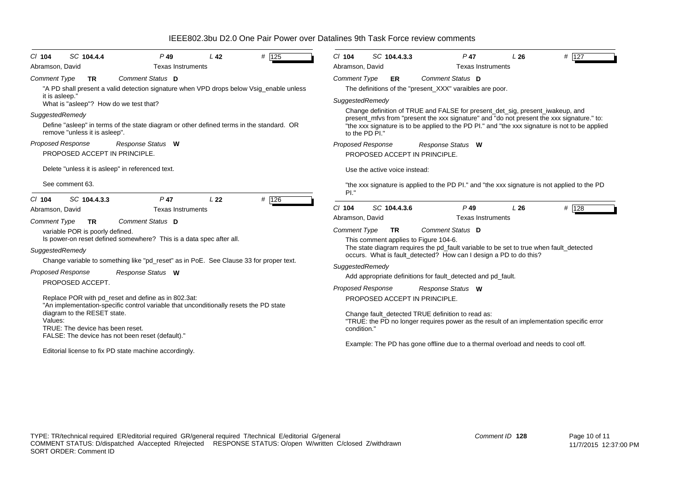| SC 104.4.4<br>$P$ 49<br># 125<br>L <sub>42</sub><br>$Cl$ 104<br>Abramson, David<br><b>Texas Instruments</b>                                                 | SC 104.4.3.3<br>$P$ 47<br># 127<br>$Cl$ 104<br>L26<br>Abramson, David<br><b>Texas Instruments</b>                                                                                                                                                                            |  |  |  |  |
|-------------------------------------------------------------------------------------------------------------------------------------------------------------|------------------------------------------------------------------------------------------------------------------------------------------------------------------------------------------------------------------------------------------------------------------------------|--|--|--|--|
| Comment Status D<br><b>Comment Type</b><br>TR.<br>"A PD shall present a valid detection signature when VPD drops below Vsig_enable unless<br>it is asleep." | Comment Status D<br><b>Comment Type</b><br><b>ER</b><br>The definitions of the "present XXX" varaibles are poor.                                                                                                                                                             |  |  |  |  |
| What is "asleep"? How do we test that?                                                                                                                      | SuggestedRemedy                                                                                                                                                                                                                                                              |  |  |  |  |
| SuggestedRemedy<br>Define "asleep" in terms of the state diagram or other defined terms in the standard. OR                                                 | Change definition of TRUE and FALSE for present_det_sig, present_iwakeup, and<br>present_mfvs from "present the xxx signature" and "do not present the xxx signature." to:<br>"the xxx signature is to be applied to the PD PI." and "the xxx signature is not to be applied |  |  |  |  |
| remove "unless it is asleep".                                                                                                                               | to the PD PI."                                                                                                                                                                                                                                                               |  |  |  |  |
| <b>Proposed Response</b><br>Response Status W<br>PROPOSED ACCEPT IN PRINCIPLE.                                                                              | Proposed Response<br>Response Status W<br>PROPOSED ACCEPT IN PRINCIPLE.                                                                                                                                                                                                      |  |  |  |  |
| Delete "unless it is asleep" in referenced text.                                                                                                            | Use the active voice instead:                                                                                                                                                                                                                                                |  |  |  |  |
| See comment 63.                                                                                                                                             | "the xxx signature is applied to the PD PI." and "the xxx signature is not applied to the PD<br>PI."                                                                                                                                                                         |  |  |  |  |
| SC 104.4.3.3<br># 126<br>P <sub>47</sub><br>L <sub>22</sub><br>$Cl$ 104<br>Abramson, David<br><b>Texas Instruments</b>                                      | # 128<br>$Cl$ 104<br>SC 104.4.3.6<br>$P$ 49<br>L26                                                                                                                                                                                                                           |  |  |  |  |
| Comment Status D<br>Comment Type<br><b>TR</b>                                                                                                               | <b>Texas Instruments</b><br>Abramson, David                                                                                                                                                                                                                                  |  |  |  |  |
| variable POR is poorly defined.<br>Is power-on reset defined somewhere? This is a data spec after all.                                                      | <b>Comment Type</b><br>Comment Status D<br><b>TR</b><br>This comment applies to Figure 104-6.                                                                                                                                                                                |  |  |  |  |
| SuggestedRemedy<br>Change variable to something like "pd_reset" as in PoE. See Clause 33 for proper text.                                                   | The state diagram requires the pd_fault variable to be set to true when fault_detected<br>occurs. What is fault_detected? How can I design a PD to do this?                                                                                                                  |  |  |  |  |
|                                                                                                                                                             | SuggestedRemedy                                                                                                                                                                                                                                                              |  |  |  |  |
| <b>Proposed Response</b><br>Response Status W                                                                                                               | Add appropriate definitions for fault_detected and pd_fault.                                                                                                                                                                                                                 |  |  |  |  |
| PROPOSED ACCEPT.                                                                                                                                            | <b>Proposed Response</b><br>Response Status W                                                                                                                                                                                                                                |  |  |  |  |
| Replace POR with pd_reset and define as in 802.3at:<br>"An implementation-specific control variable that unconditionally resets the PD state                | PROPOSED ACCEPT IN PRINCIPLE.                                                                                                                                                                                                                                                |  |  |  |  |
| diagram to the RESET state.<br>Values:<br>TRUE: The device has been reset.<br>FALSE: The device has not been reset (default)."                              | Change fault_detected TRUE definition to read as:<br>"TRUE: the PD no longer requires power as the result of an implementation specific error<br>condition."                                                                                                                 |  |  |  |  |
| Editorial license to fix PD state machine accordingly.                                                                                                      | Example: The PD has gone offline due to a thermal overload and needs to cool off.                                                                                                                                                                                            |  |  |  |  |